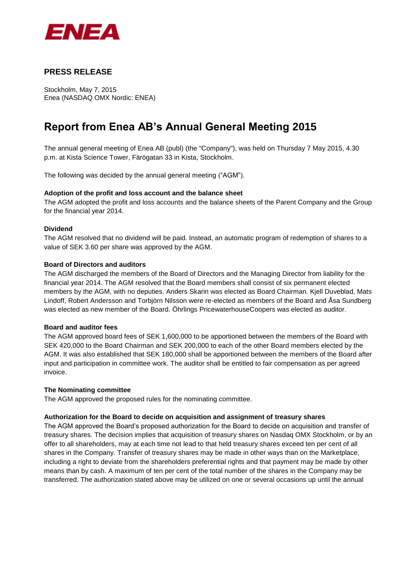

# **PRESS RELEASE**

Stockholm, May 7, 2015 Enea (NASDAQ OMX Nordic: ENEA)

# **Report from Enea AB's Annual General Meeting 2015**

The annual general meeting of Enea AB (publ) (the "Company"), was held on Thursday 7 May 2015, 4.30 p.m. at Kista Science Tower, Färögatan 33 in Kista, Stockholm.

The following was decided by the annual general meeting ("AGM").

# **Adoption of the profit and loss account and the balance sheet**

The AGM adopted the profit and loss accounts and the balance sheets of the Parent Company and the Group for the financial year 2014.

#### **Dividend**

The AGM resolved that no dividend will be paid. Instead, an automatic program of redemption of shares to a value of SEK 3.60 per share was approved by the AGM.

# **Board of Directors and auditors**

The AGM discharged the members of the Board of Directors and the Managing Director from liability for the financial year 2014. The AGM resolved that the Board members shall consist of six permanent elected members by the AGM, with no deputies. Anders Skarin was elected as Board Chairman. Kjell Duveblad, Mats Lindoff, Robert Andersson and Torbjörn Nilsson were re-elected as members of the Board and Åsa Sundberg was elected as new member of the Board. Öhrlings PricewaterhouseCoopers was elected as auditor.

#### **Board and auditor fees**

The AGM approved board fees of SEK 1,600,000 to be apportioned between the members of the Board with SEK 420,000 to the Board Chairman and SEK 200,000 to each of the other Board members elected by the AGM. It was also established that SEK 180,000 shall be apportioned between the members of the Board after input and participation in committee work. The auditor shall be entitled to fair compensation as per agreed invoice.

# **The Nominating committee**

The AGM approved the proposed rules for the nominating committee.

# **Authorization for the Board to decide on acquisition and assignment of treasury shares**

The AGM approved the Board's proposed authorization for the Board to decide on acquisition and transfer of treasury shares. The decision implies that acquisition of treasury shares on Nasdaq OMX Stockholm, or by an offer to all shareholders, may at each time not lead to that held treasury shares exceed ten per cent of all shares in the Company. Transfer of treasury shares may be made in other ways than on the Marketplace, including a right to deviate from the shareholders preferential rights and that payment may be made by other means than by cash. A maximum of ten per cent of the total number of the shares in the Company may be transferred. The authorization stated above may be utilized on one or several occasions up until the annual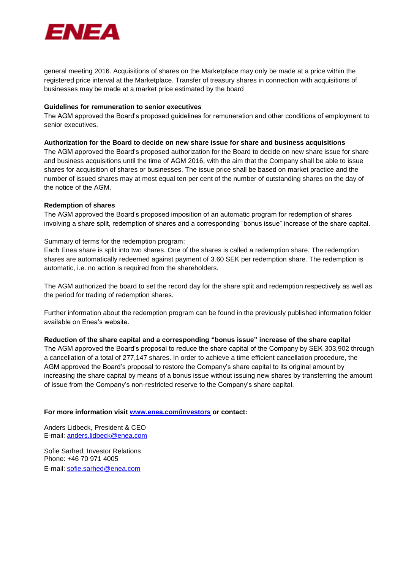

general meeting 2016. Acquisitions of shares on the Marketplace may only be made at a price within the registered price interval at the Marketplace. Transfer of treasury shares in connection with acquisitions of businesses may be made at a market price estimated by the board

#### **Guidelines for remuneration to senior executives**

The AGM approved the Board's proposed guidelines for remuneration and other conditions of employment to senior executives.

#### **Authorization for the Board to decide on new share issue for share and business acquisitions**

The AGM approved the Board's proposed authorization for the Board to decide on new share issue for share and business acquisitions until the time of AGM 2016, with the aim that the Company shall be able to issue shares for acquisition of shares or businesses. The issue price shall be based on market practice and the number of issued shares may at most equal ten per cent of the number of outstanding shares on the day of the notice of the AGM.

#### **Redemption of shares**

The AGM approved the Board's proposed imposition of an automatic program for redemption of shares involving a share split, redemption of shares and a corresponding "bonus issue" increase of the share capital.

Summary of terms for the redemption program:

Each Enea share is split into two shares. One of the shares is called a redemption share. The redemption shares are automatically redeemed against payment of 3.60 SEK per redemption share. The redemption is automatic, i.e. no action is required from the shareholders.

The AGM authorized the board to set the record day for the share split and redemption respectively as well as the period for trading of redemption shares.

Further information about the redemption program can be found in the previously published information folder available on Enea's website.

# **Reduction of the share capital and a corresponding "bonus issue" increase of the share capital**

The AGM approved the Board's proposal to reduce the share capital of the Company by SEK 303,902 through a cancellation of a total of 277,147 shares. In order to achieve a time efficient cancellation procedure, the AGM approved the Board's proposal to restore the Company's share capital to its original amount by increasing the share capital by means of a bonus issue without issuing new shares by transferring the amount of issue from the Company's non-restricted reserve to the Company's share capital.

# **For more information visit [www.enea.com/investors](http://www.enea.com/investors) or contact:**

Anders Lidbeck, President & CEO E-mail: [anders.lidbeck@enea.com](mailto:anders.lidbeck@enea.com)

Sofie Sarhed, Investor Relations Phone: +46 70 971 4005 E-mail: [sofie.sarhed@enea.com](mailto:sofie.sarhed@enea.com)